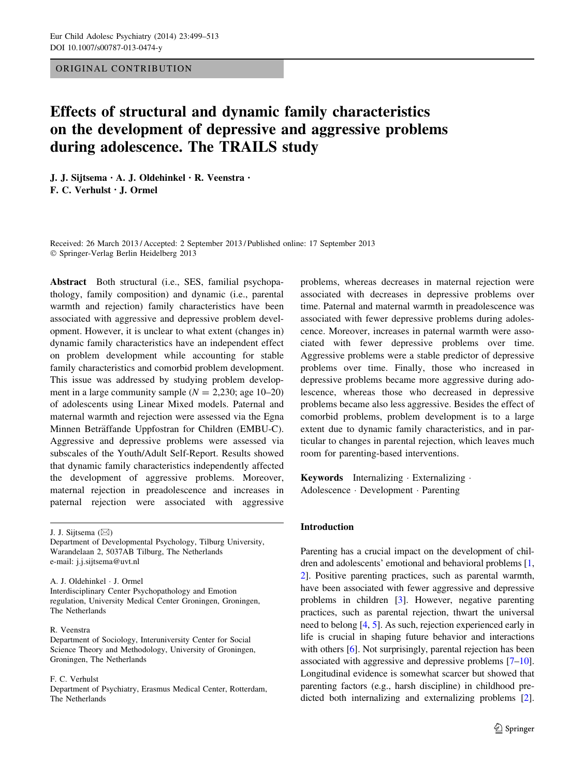## ORIGINAL CONTRIBUTION

# Effects of structural and dynamic family characteristics on the development of depressive and aggressive problems during adolescence. The TRAILS study

J. J. Sijtsema • A. J. Oldehinkel • R. Veenstra • F. C. Verhulst • J. Ormel

Received: 26 March 2013 / Accepted: 2 September 2013 / Published online: 17 September 2013 - Springer-Verlag Berlin Heidelberg 2013

Abstract Both structural (i.e., SES, familial psychopathology, family composition) and dynamic (i.e., parental warmth and rejection) family characteristics have been associated with aggressive and depressive problem development. However, it is unclear to what extent (changes in) dynamic family characteristics have an independent effect on problem development while accounting for stable family characteristics and comorbid problem development. This issue was addressed by studying problem development in a large community sample  $(N = 2,230;$  age 10–20) of adolescents using Linear Mixed models. Paternal and maternal warmth and rejection were assessed via the Egna Minnen Beträffande Uppfostran for Children (EMBU-C). Aggressive and depressive problems were assessed via subscales of the Youth/Adult Self-Report. Results showed that dynamic family characteristics independently affected the development of aggressive problems. Moreover, maternal rejection in preadolescence and increases in paternal rejection were associated with aggressive

J. J. Sijtsema  $(\boxtimes)$ Department of Developmental Psychology, Tilburg University, Warandelaan 2, 5037AB Tilburg, The Netherlands e-mail: j.j.sijtsema@uvt.nl

A. J. Oldehinkel - J. Ormel

Interdisciplinary Center Psychopathology and Emotion regulation, University Medical Center Groningen, Groningen, The Netherlands

## R. Veenstra

Department of Sociology, Interuniversity Center for Social Science Theory and Methodology, University of Groningen, Groningen, The Netherlands

## F. C. Verhulst

Department of Psychiatry, Erasmus Medical Center, Rotterdam, The Netherlands

problems, whereas decreases in maternal rejection were associated with decreases in depressive problems over time. Paternal and maternal warmth in preadolescence was associated with fewer depressive problems during adolescence. Moreover, increases in paternal warmth were associated with fewer depressive problems over time. Aggressive problems were a stable predictor of depressive problems over time. Finally, those who increased in depressive problems became more aggressive during adolescence, whereas those who decreased in depressive problems became also less aggressive. Besides the effect of comorbid problems, problem development is to a large extent due to dynamic family characteristics, and in particular to changes in parental rejection, which leaves much room for parenting-based interventions.

Keywords Internalizing - Externalizing - Adolescence - Development - Parenting

### Introduction

Parenting has a crucial impact on the development of children and adolescents' emotional and behavioral problems [[1,](#page-13-0) [2](#page-13-0)]. Positive parenting practices, such as parental warmth, have been associated with fewer aggressive and depressive problems in children [\[3](#page-13-0)]. However, negative parenting practices, such as parental rejection, thwart the universal need to belong [\[4](#page-13-0), [5](#page-13-0)]. As such, rejection experienced early in life is crucial in shaping future behavior and interactions with others [\[6](#page-13-0)]. Not surprisingly, parental rejection has been associated with aggressive and depressive problems [\[7–10\]](#page-13-0). Longitudinal evidence is somewhat scarcer but showed that parenting factors (e.g., harsh discipline) in childhood predicted both internalizing and externalizing problems [[2\]](#page-13-0).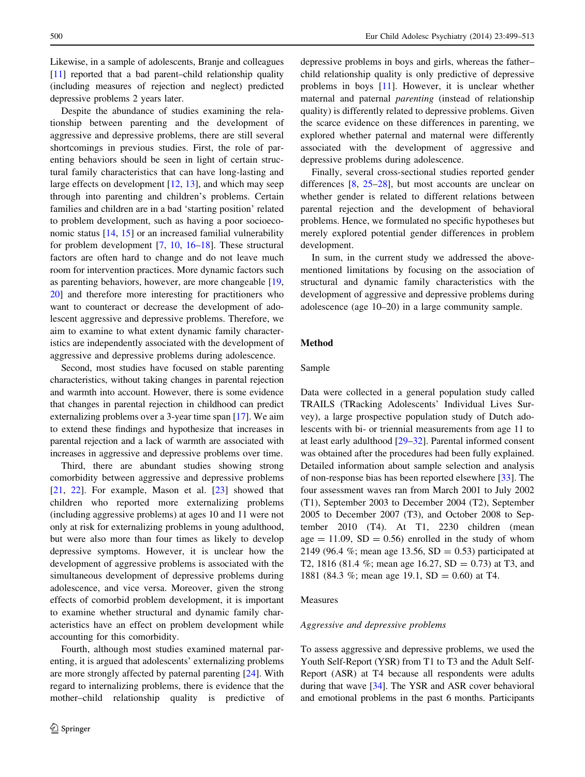Likewise, in a sample of adolescents, Branje and colleagues [\[11](#page-13-0)] reported that a bad parent–child relationship quality (including measures of rejection and neglect) predicted depressive problems 2 years later.

Despite the abundance of studies examining the relationship between parenting and the development of aggressive and depressive problems, there are still several shortcomings in previous studies. First, the role of parenting behaviors should be seen in light of certain structural family characteristics that can have long-lasting and large effects on development [[12,](#page-13-0) [13\]](#page-13-0), and which may seep through into parenting and children's problems. Certain families and children are in a bad 'starting position' related to problem development, such as having a poor socioeconomic status [[14,](#page-13-0) [15](#page-13-0)] or an increased familial vulnerability for problem development [\[7](#page-13-0), [10](#page-13-0), [16–18](#page-13-0)]. These structural factors are often hard to change and do not leave much room for intervention practices. More dynamic factors such as parenting behaviors, however, are more changeable [[19,](#page-13-0) [20](#page-13-0)] and therefore more interesting for practitioners who want to counteract or decrease the development of adolescent aggressive and depressive problems. Therefore, we aim to examine to what extent dynamic family characteristics are independently associated with the development of aggressive and depressive problems during adolescence.

Second, most studies have focused on stable parenting characteristics, without taking changes in parental rejection and warmth into account. However, there is some evidence that changes in parental rejection in childhood can predict externalizing problems over a 3-year time span [\[17](#page-13-0)]. We aim to extend these findings and hypothesize that increases in parental rejection and a lack of warmth are associated with increases in aggressive and depressive problems over time.

Third, there are abundant studies showing strong comorbidity between aggressive and depressive problems [\[21](#page-13-0), [22](#page-13-0)]. For example, Mason et al. [\[23](#page-13-0)] showed that children who reported more externalizing problems (including aggressive problems) at ages 10 and 11 were not only at risk for externalizing problems in young adulthood, but were also more than four times as likely to develop depressive symptoms. However, it is unclear how the development of aggressive problems is associated with the simultaneous development of depressive problems during adolescence, and vice versa. Moreover, given the strong effects of comorbid problem development, it is important to examine whether structural and dynamic family characteristics have an effect on problem development while accounting for this comorbidity.

Fourth, although most studies examined maternal parenting, it is argued that adolescents' externalizing problems are more strongly affected by paternal parenting [[24\]](#page-13-0). With regard to internalizing problems, there is evidence that the mother–child relationship quality is predictive of depressive problems in boys and girls, whereas the father– child relationship quality is only predictive of depressive problems in boys [\[11](#page-13-0)]. However, it is unclear whether maternal and paternal parenting (instead of relationship quality) is differently related to depressive problems. Given the scarce evidence on these differences in parenting, we explored whether paternal and maternal were differently associated with the development of aggressive and depressive problems during adolescence.

Finally, several cross-sectional studies reported gender differences [\[8](#page-13-0), [25–](#page-13-0)[28\]](#page-14-0), but most accounts are unclear on whether gender is related to different relations between parental rejection and the development of behavioral problems. Hence, we formulated no specific hypotheses but merely explored potential gender differences in problem development.

In sum, in the current study we addressed the abovementioned limitations by focusing on the association of structural and dynamic family characteristics with the development of aggressive and depressive problems during adolescence (age 10–20) in a large community sample.

# Method

# Sample

Data were collected in a general population study called TRAILS (TRacking Adolescents' Individual Lives Survey), a large prospective population study of Dutch adolescents with bi- or triennial measurements from age 11 to at least early adulthood [[29–32\]](#page-14-0). Parental informed consent was obtained after the procedures had been fully explained. Detailed information about sample selection and analysis of non-response bias has been reported elsewhere [\[33](#page-14-0)]. The four assessment waves ran from March 2001 to July 2002 (T1), September 2003 to December 2004 (T2), September 2005 to December 2007 (T3), and October 2008 to September 2010 (T4). At T1, 2230 children (mean age  $= 11.09$ ,  $SD = 0.56$  enrolled in the study of whom 2149 (96.4 %; mean age 13.56, SD = 0.53) participated at T2, 1816 (81.4 %; mean age 16.27,  $SD = 0.73$ ) at T3, and 1881 (84.3 %; mean age 19.1, SD = 0.60) at T4.

#### Measures

#### Aggressive and depressive problems

To assess aggressive and depressive problems, we used the Youth Self-Report (YSR) from T1 to T3 and the Adult Self-Report (ASR) at T4 because all respondents were adults during that wave [[34](#page-14-0)]. The YSR and ASR cover behavioral and emotional problems in the past 6 months. Participants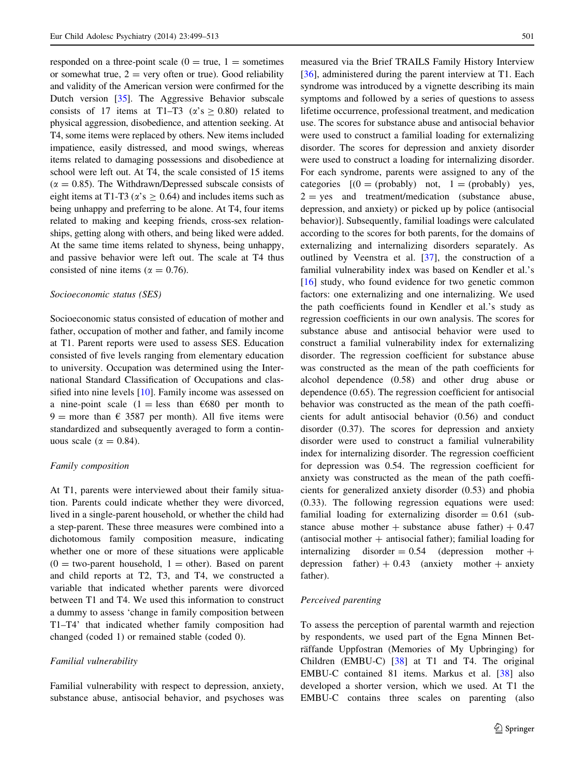responded on a three-point scale  $(0 = true, 1 =$ sometimes or somewhat true,  $2 = \text{very often or true}$ . Good reliability and validity of the American version were confirmed for the Dutch version [[35\]](#page-14-0). The Aggressive Behavior subscale consists of 17 items at T1–T3 ( $\alpha$ 's > 0.80) related to physical aggression, disobedience, and attention seeking. At T4, some items were replaced by others. New items included impatience, easily distressed, and mood swings, whereas items related to damaging possessions and disobedience at school were left out. At T4, the scale consisted of 15 items  $(\alpha = 0.85)$ . The Withdrawn/Depressed subscale consists of eight items at T1-T3 ( $\alpha$ 's  $\geq$  0.64) and includes items such as being unhappy and preferring to be alone. At T4, four items related to making and keeping friends, cross-sex relationships, getting along with others, and being liked were added. At the same time items related to shyness, being unhappy, and passive behavior were left out. The scale at T4 thus consisted of nine items ( $\alpha = 0.76$ ).

## Socioeconomic status (SES)

Socioeconomic status consisted of education of mother and father, occupation of mother and father, and family income at T1. Parent reports were used to assess SES. Education consisted of five levels ranging from elementary education to university. Occupation was determined using the International Standard Classification of Occupations and classified into nine levels [[10\]](#page-13-0). Family income was assessed on a nine-point scale (1 = less than  $\epsilon$ 680 per month to 9 = more than  $\epsilon$  3587 per month). All five items were standardized and subsequently averaged to form a continuous scale ( $\alpha = 0.84$ ).

## Family composition

At T1, parents were interviewed about their family situation. Parents could indicate whether they were divorced, lived in a single-parent household, or whether the child had a step-parent. These three measures were combined into a dichotomous family composition measure, indicating whether one or more of these situations were applicable  $(0 = two-parent$  household,  $1 = other$ ). Based on parent and child reports at T2, T3, and T4, we constructed a variable that indicated whether parents were divorced between T1 and T4. We used this information to construct a dummy to assess 'change in family composition between T1–T4' that indicated whether family composition had changed (coded 1) or remained stable (coded 0).

## Familial vulnerability

Familial vulnerability with respect to depression, anxiety, substance abuse, antisocial behavior, and psychoses was

measured via the Brief TRAILS Family History Interview [\[36](#page-14-0)], administered during the parent interview at T1. Each syndrome was introduced by a vignette describing its main symptoms and followed by a series of questions to assess lifetime occurrence, professional treatment, and medication use. The scores for substance abuse and antisocial behavior were used to construct a familial loading for externalizing disorder. The scores for depression and anxiety disorder were used to construct a loading for internalizing disorder. For each syndrome, parents were assigned to any of the categories  $[(0 = (probably) not, 1 = (probably) yes,$  $2 = yes$  and treatment/medication (substance abuse, depression, and anxiety) or picked up by police (antisocial behavior)]. Subsequently, familial loadings were calculated according to the scores for both parents, for the domains of externalizing and internalizing disorders separately. As outlined by Veenstra et al. [\[37](#page-14-0)], the construction of a familial vulnerability index was based on Kendler et al.'s [\[16](#page-13-0)] study, who found evidence for two genetic common factors: one externalizing and one internalizing. We used the path coefficients found in Kendler et al.'s study as regression coefficients in our own analysis. The scores for substance abuse and antisocial behavior were used to construct a familial vulnerability index for externalizing disorder. The regression coefficient for substance abuse was constructed as the mean of the path coefficients for alcohol dependence (0.58) and other drug abuse or dependence (0.65). The regression coefficient for antisocial behavior was constructed as the mean of the path coefficients for adult antisocial behavior (0.56) and conduct disorder (0.37). The scores for depression and anxiety disorder were used to construct a familial vulnerability index for internalizing disorder. The regression coefficient for depression was 0.54. The regression coefficient for anxiety was constructed as the mean of the path coefficients for generalized anxiety disorder (0.53) and phobia (0.33). The following regression equations were used: familial loading for externalizing disorder  $= 0.61$  (substance abuse mother  $+$  substance abuse father)  $+$  0.47 (antisocial mother  $+$  antisocial father); familial loading for internalizing disorder  $= 0.54$  (depression mother  $+$ depression father)  $+ 0.43$  (anxiety mother  $+$  anxiety father).

#### Perceived parenting

To assess the perception of parental warmth and rejection by respondents, we used part of the Egna Minnen Beträffande Uppfostran (Memories of My Upbringing) for Children (EMBU-C) [[38\]](#page-14-0) at T1 and T4. The original EMBU-C contained 81 items. Markus et al. [\[38](#page-14-0)] also developed a shorter version, which we used. At T1 the EMBU-C contains three scales on parenting (also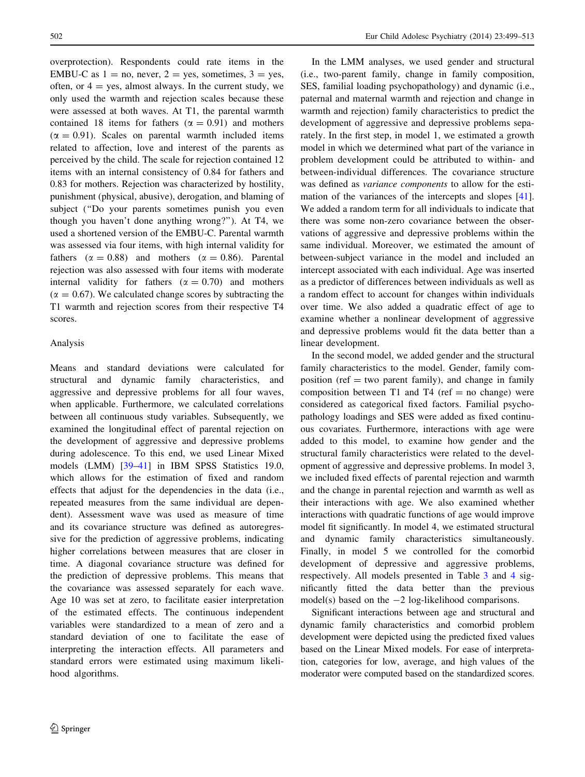overprotection). Respondents could rate items in the EMBU-C as  $1 = no$ , never,  $2 = yes$ , sometimes,  $3 = yes$ , often, or  $4 = \text{yes}$ , almost always. In the current study, we only used the warmth and rejection scales because these were assessed at both waves. At T1, the parental warmth contained 18 items for fathers ( $\alpha = 0.91$ ) and mothers  $(\alpha = 0.91)$ . Scales on parental warmth included items related to affection, love and interest of the parents as perceived by the child. The scale for rejection contained 12 items with an internal consistency of 0.84 for fathers and 0.83 for mothers. Rejection was characterized by hostility, punishment (physical, abusive), derogation, and blaming of subject (''Do your parents sometimes punish you even though you haven't done anything wrong?''). At T4, we used a shortened version of the EMBU-C. Parental warmth was assessed via four items, with high internal validity for fathers ( $\alpha = 0.88$ ) and mothers ( $\alpha = 0.86$ ). Parental rejection was also assessed with four items with moderate internal validity for fathers ( $\alpha = 0.70$ ) and mothers  $(\alpha = 0.67)$ . We calculated change scores by subtracting the T1 warmth and rejection scores from their respective T4 scores.

## Analysis

Means and standard deviations were calculated for structural and dynamic family characteristics, and aggressive and depressive problems for all four waves, when applicable. Furthermore, we calculated correlations between all continuous study variables. Subsequently, we examined the longitudinal effect of parental rejection on the development of aggressive and depressive problems during adolescence. To this end, we used Linear Mixed models (LMM) [[39–41\]](#page-14-0) in IBM SPSS Statistics 19.0, which allows for the estimation of fixed and random effects that adjust for the dependencies in the data (i.e., repeated measures from the same individual are dependent). Assessment wave was used as measure of time and its covariance structure was defined as autoregressive for the prediction of aggressive problems, indicating higher correlations between measures that are closer in time. A diagonal covariance structure was defined for the prediction of depressive problems. This means that the covariance was assessed separately for each wave. Age 10 was set at zero, to facilitate easier interpretation of the estimated effects. The continuous independent variables were standardized to a mean of zero and a standard deviation of one to facilitate the ease of interpreting the interaction effects. All parameters and standard errors were estimated using maximum likelihood algorithms.

In the LMM analyses, we used gender and structural (i.e., two-parent family, change in family composition, SES, familial loading psychopathology) and dynamic (i.e., paternal and maternal warmth and rejection and change in warmth and rejection) family characteristics to predict the development of aggressive and depressive problems separately. In the first step, in model 1, we estimated a growth model in which we determined what part of the variance in problem development could be attributed to within- and between-individual differences. The covariance structure was defined as variance components to allow for the estimation of the variances of the intercepts and slopes [\[41](#page-14-0)]. We added a random term for all individuals to indicate that there was some non-zero covariance between the observations of aggressive and depressive problems within the same individual. Moreover, we estimated the amount of between-subject variance in the model and included an intercept associated with each individual. Age was inserted as a predictor of differences between individuals as well as a random effect to account for changes within individuals over time. We also added a quadratic effect of age to examine whether a nonlinear development of aggressive and depressive problems would fit the data better than a linear development.

In the second model, we added gender and the structural family characteristics to the model. Gender, family composition (ref  $=$  two parent family), and change in family composition between  $T1$  and  $T4$  (ref = no change) were considered as categorical fixed factors. Familial psychopathology loadings and SES were added as fixed continuous covariates. Furthermore, interactions with age were added to this model, to examine how gender and the structural family characteristics were related to the development of aggressive and depressive problems. In model 3, we included fixed effects of parental rejection and warmth and the change in parental rejection and warmth as well as their interactions with age. We also examined whether interactions with quadratic functions of age would improve model fit significantly. In model 4, we estimated structural and dynamic family characteristics simultaneously. Finally, in model 5 we controlled for the comorbid development of depressive and aggressive problems, respectively. All models presented in Table [3](#page-6-0) and [4](#page-9-0) significantly fitted the data better than the previous model(s) based on the  $-2$  log-likelihood comparisons.

Significant interactions between age and structural and dynamic family characteristics and comorbid problem development were depicted using the predicted fixed values based on the Linear Mixed models. For ease of interpretation, categories for low, average, and high values of the moderator were computed based on the standardized scores.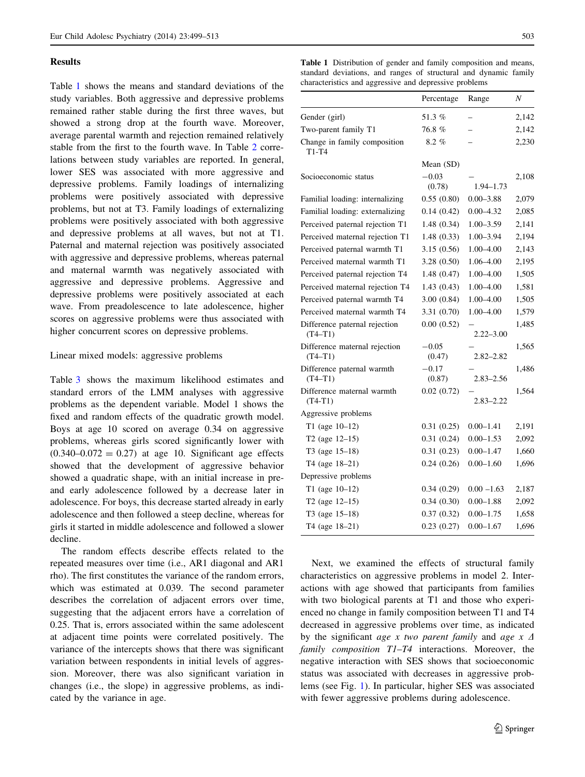## Results

Table 1 shows the means and standard deviations of the study variables. Both aggressive and depressive problems remained rather stable during the first three waves, but showed a strong drop at the fourth wave. Moreover, average parental warmth and rejection remained relatively stable from the first to the fourth wave. In Table [2](#page-5-0) correlations between study variables are reported. In general, lower SES was associated with more aggressive and depressive problems. Family loadings of internalizing problems were positively associated with depressive problems, but not at T3. Family loadings of externalizing problems were positively associated with both aggressive and depressive problems at all waves, but not at T1. Paternal and maternal rejection was positively associated with aggressive and depressive problems, whereas paternal and maternal warmth was negatively associated with aggressive and depressive problems. Aggressive and depressive problems were positively associated at each wave. From preadolescence to late adolescence, higher scores on aggressive problems were thus associated with higher concurrent scores on depressive problems.

## Linear mixed models: aggressive problems

Table [3](#page-6-0) shows the maximum likelihood estimates and standard errors of the LMM analyses with aggressive problems as the dependent variable. Model 1 shows the fixed and random effects of the quadratic growth model. Boys at age 10 scored on average 0.34 on aggressive problems, whereas girls scored significantly lower with  $(0.340-0.072 = 0.27)$  at age 10. Significant age effects showed that the development of aggressive behavior showed a quadratic shape, with an initial increase in preand early adolescence followed by a decrease later in adolescence. For boys, this decrease started already in early adolescence and then followed a steep decline, whereas for girls it started in middle adolescence and followed a slower decline.

The random effects describe effects related to the repeated measures over time (i.e., AR1 diagonal and AR1 rho). The first constitutes the variance of the random errors, which was estimated at 0.039. The second parameter describes the correlation of adjacent errors over time, suggesting that the adjacent errors have a correlation of 0.25. That is, errors associated within the same adolescent at adjacent time points were correlated positively. The variance of the intercepts shows that there was significant variation between respondents in initial levels of aggression. Moreover, there was also significant variation in changes (i.e., the slope) in aggressive problems, as indicated by the variance in age.

Table 1 Distribution of gender and family composition and means, standard deviations, and ranges of structural and dynamic family characteristics and aggressive and depressive problems

|                                            | Percentage        | Range         | Ν     |
|--------------------------------------------|-------------------|---------------|-------|
| Gender (girl)                              | 51.3%             | Ē,            | 2,142 |
| Two-parent family T1                       | 76.8%             |               | 2,142 |
| Change in family composition<br>$T1-T4$    | $8.2 \%$          |               | 2,230 |
|                                            | Mean (SD)         |               |       |
| Socioeconomic status                       | $-0.03$<br>(0.78) | $1.94 - 1.73$ | 2,108 |
| Familial loading: internalizing            | 0.55(0.80)        | $0.00 - 3.88$ | 2,079 |
| Familial loading: externalizing            | 0.14(0.42)        | $0.00 - 4.32$ | 2,085 |
| Perceived paternal rejection T1            | 1.48(0.34)        | 1.00-3.59     | 2,141 |
| Perceived maternal rejection T1            | 1.48(0.33)        | $1.00 - 3.94$ | 2,194 |
| Perceived paternal warmth T1               | 3.15 (0.56)       | $1.00 - 4.00$ | 2,143 |
| Perceived maternal warmth T1               | 3.28(0.50)        | 1.06-4.00     | 2,195 |
| Perceived paternal rejection T4            | 1.48(0.47)        | 1.00–4.00     | 1,505 |
| Perceived maternal rejection T4            | 1.43(0.43)        | 1.00–4.00     | 1,581 |
| Perceived paternal warmth T4               | 3.00(0.84)        | 1.00–4.00     | 1,505 |
| Perceived maternal warmth T4               | 3.31 (0.70)       | 1.00–4.00     | 1,579 |
| Difference paternal rejection<br>$(T4-T1)$ | 0.00(0.52)        | $2.22 - 3.00$ | 1,485 |
| Difference maternal rejection<br>$(T4-T1)$ | $-0.05$<br>(0.47) | $2.82 - 2.82$ | 1,565 |
| Difference paternal warmth<br>$(T4-T1)$    | $-0.17$<br>(0.87) | $2.83 - 2.56$ | 1,486 |
| Difference maternal warmth<br>$(T4-T1)$    | 0.02(0.72)        | $2.83 - 2.22$ | 1,564 |
| Aggressive problems                        |                   |               |       |
| T1 (age $10-12$ )                          | 0.31(0.25)        | $0.00 - 1.41$ | 2,191 |
| T <sub>2</sub> (age 12–15)                 | 0.31(0.24)        | $0.00 - 1.53$ | 2,092 |
| T3 (age $15-18$ )                          | 0.31(0.23)        | $0.00 - 1.47$ | 1,660 |
| T4 (age 18-21)                             | 0.24(0.26)        | $0.00 - 1.60$ | 1,696 |
| Depressive problems                        |                   |               |       |
| T1 (age $10-12$ )                          | 0.34(0.29)        | $0.00 - 1.63$ | 2,187 |
| T2 (age $12-15$ )                          | 0.34(0.30)        | $0.00 - 1.88$ | 2,092 |
| T3 (age $15-18$ )                          | 0.37(0.32)        | $0.00 - 1.75$ | 1,658 |
| T4 (age 18-21)                             | 0.23(0.27)        | $0.00 - 1.67$ | 1,696 |

Next, we examined the effects of structural family characteristics on aggressive problems in model 2. Interactions with age showed that participants from families with two biological parents at T1 and those who experienced no change in family composition between T1 and T4 decreased in aggressive problems over time, as indicated by the significant *age x two parent family* and *age x*  $\Delta$ family composition T1–T4 interactions. Moreover, the negative interaction with SES shows that socioeconomic status was associated with decreases in aggressive problems (see Fig. [1](#page-7-0)). In particular, higher SES was associated with fewer aggressive problems during adolescence.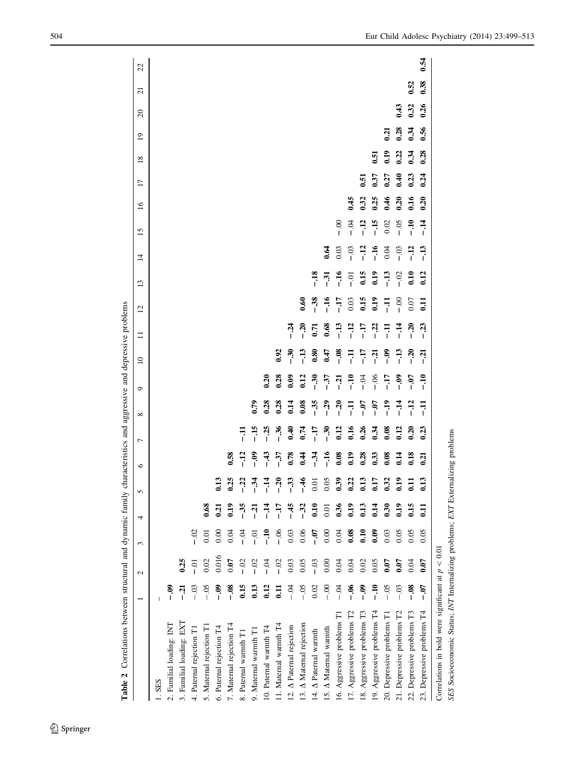<span id="page-5-0"></span>

| $\mathbf{c}$             | 3                | 4                                                                              | 5              | $\circ$     | 7                                                                 | ${}^{\circ}$                                                                     | ٥              | $\overline{10}$               | $\equiv$      |                                    | $\overline{1}$                                                                                     | 15                                                                                                                                                     | $\overline{16}$                                                                        | $\overline{17}$                                                                              | 18                                                   | $\overline{19}$                                        | $\Omega$                     | $\overline{z}$ | 22   |
|--------------------------|------------------|--------------------------------------------------------------------------------|----------------|-------------|-------------------------------------------------------------------|----------------------------------------------------------------------------------|----------------|-------------------------------|---------------|------------------------------------|----------------------------------------------------------------------------------------------------|--------------------------------------------------------------------------------------------------------------------------------------------------------|----------------------------------------------------------------------------------------|----------------------------------------------------------------------------------------------|------------------------------------------------------|--------------------------------------------------------|------------------------------|----------------|------|
|                          |                  |                                                                                |                |             |                                                                   |                                                                                  |                |                               |               |                                    |                                                                                                    |                                                                                                                                                        |                                                                                        |                                                                                              |                                                      |                                                        |                              |                |      |
| $-0.9$                   |                  |                                                                                |                |             |                                                                   |                                                                                  |                |                               |               |                                    |                                                                                                    |                                                                                                                                                        |                                                                                        |                                                                                              |                                                      |                                                        |                              |                |      |
| 0.25<br>ក្នុ             |                  |                                                                                |                |             |                                                                   |                                                                                  |                |                               |               |                                    |                                                                                                    |                                                                                                                                                        |                                                                                        |                                                                                              |                                                      |                                                        |                              |                |      |
| io-<br>$-03$             | $-0.2$           |                                                                                |                |             |                                                                   |                                                                                  |                |                               |               |                                    |                                                                                                    |                                                                                                                                                        |                                                                                        |                                                                                              |                                                      |                                                        |                              |                |      |
| 0.02<br>$-0.5$           | 0.01             | 0.68                                                                           |                |             |                                                                   |                                                                                  |                |                               |               |                                    |                                                                                                    |                                                                                                                                                        |                                                                                        |                                                                                              |                                                      |                                                        |                              |                |      |
| $-0.9$                   | 0.00             | $\overline{5}$                                                                 | e              |             |                                                                   |                                                                                  |                |                               |               |                                    |                                                                                                    |                                                                                                                                                        |                                                                                        |                                                                                              |                                                      |                                                        |                              |                |      |
| 0.07<br>°″ –             | 0.04             | 0.19                                                                           | 35             | 0.58        |                                                                   |                                                                                  |                |                               |               |                                    |                                                                                                    |                                                                                                                                                        |                                                                                        |                                                                                              |                                                      |                                                        |                              |                |      |
| $-02$<br>0.15            |                  | $-35$                                                                          | $\ddot{c}$     |             | 큐                                                                 |                                                                                  |                |                               |               |                                    |                                                                                                    |                                                                                                                                                        |                                                                                        |                                                                                              |                                                      |                                                        |                              |                |      |
| $-02$<br>0.13            | $\overline{c}$ . | ក្ន                                                                            | 34             | $-0.9$      | $-15$                                                             | 0.79                                                                             |                |                               |               |                                    |                                                                                                    |                                                                                                                                                        |                                                                                        |                                                                                              |                                                      |                                                        |                              |                |      |
| र<br>न<br>$\frac{12}{1}$ | ິີ່              | $-14$                                                                          | $\ddot{=}$     | $-43$       | $-25$                                                             | 0.28                                                                             | 0.20           |                               |               |                                    |                                                                                                    |                                                                                                                                                        |                                                                                        |                                                                                              |                                                      |                                                        |                              |                |      |
| $-0$<br>$\Xi$            |                  | $-17$                                                                          | នុ             |             | $-36$                                                             | 0.28                                                                             | 0.28           | 0.92                          |               |                                    |                                                                                                    |                                                                                                                                                        |                                                                                        |                                                                                              |                                                      |                                                        |                              |                |      |
| 0.03<br>$-5$             | 0.03             | $-45$                                                                          | 33             |             | 0.40                                                              | 0.14                                                                             | 0.09           |                               | $\frac{5}{1}$ |                                    |                                                                                                    |                                                                                                                                                        |                                                                                        |                                                                                              |                                                      |                                                        |                              |                |      |
| 0.05<br>$-50$            | 0.06             | $-32$                                                                          | $\frac{4}{5}$  | $rac{4}{3}$ | 0.74                                                              | 0.08                                                                             | 0.12           | $\frac{13}{1}$                | $-20$         | 6.60                               |                                                                                                    |                                                                                                                                                        |                                                                                        |                                                                                              |                                                      |                                                        |                              |                |      |
| $-0.3$<br>0.02           | $-0.7$           | 0.10                                                                           | $\overline{5}$ |             | $-17$                                                             | $-35$                                                                            | $\frac{3}{2}$  | $\overline{\phantom{0}}^{80}$ |               |                                    |                                                                                                    |                                                                                                                                                        |                                                                                        |                                                                                              |                                                      |                                                        |                              |                |      |
| 0.00<br>$\frac{8}{1}$    | 0.00             | 0.01                                                                           | 0.05           |             | $\overline{5}$                                                    | $-29$                                                                            | $-37$          | 6.47                          | 0.68          |                                    |                                                                                                    |                                                                                                                                                        |                                                                                        |                                                                                              |                                                      |                                                        |                              |                |      |
| 0.04<br>ट<br>।           | 0.04             | 0.36                                                                           | $\mathbf{5}$   |             | 0.12                                                              | $-20$                                                                            | $\overline{a}$ | $-0.8$                        |               |                                    |                                                                                                    |                                                                                                                                                        |                                                                                        |                                                                                              |                                                      |                                                        |                              |                |      |
| 0.04<br>ತ್ತ್<br>i        | 0.08             | 0.19                                                                           | 0.22           | 0.19        | 0.16                                                              | 류                                                                                | $\frac{2}{1}$  | 큐                             |               |                                    |                                                                                                    |                                                                                                                                                        |                                                                                        |                                                                                              |                                                      |                                                        |                              |                |      |
| 0.02<br>$\frac{3}{1}$    | 0.10             | 0.13                                                                           | 0.13           |             | 0.26                                                              | $-0.7$                                                                           | ъ.<br>Т        | $\overline{H}$                |               |                                    |                                                                                                    |                                                                                                                                                        |                                                                                        |                                                                                              |                                                      |                                                        |                              |                |      |
| 0.05<br>ິີ່              | 0.09             | 14                                                                             | 517            |             | 0.34                                                              | $\frac{5}{1}$                                                                    |                | ុភ្ន                          |               |                                    |                                                                                                    |                                                                                                                                                        |                                                                                        |                                                                                              | 51                                                   |                                                        |                              |                |      |
| 0.07<br>$-0.5$           | 0.03             | $\overline{0.30}$                                                              | 0.32           | 0.08        | 0.08                                                              | $\frac{9}{1}$                                                                    | -17            | <u>ခုံ</u>                    | 류             |                                    |                                                                                                    |                                                                                                                                                        |                                                                                        |                                                                                              |                                                      | $\overline{50}$                                        |                              |                |      |
| 0.07<br>$-03$            | 0.05             | 0.19                                                                           | 0.19           | 0.14        | 0.12                                                              | $\frac{4}{1}$                                                                    | ه.<br>-        | $-13$                         | $-14$         |                                    |                                                                                                    |                                                                                                                                                        |                                                                                        |                                                                                              |                                                      |                                                        | 0.43                         |                |      |
| 0.04<br>$-0.8$           | 0.05             | <b>0.15</b>                                                                    | $\overline{1}$ | 0.18        | 0.20                                                              | $-12$                                                                            | ره-<br>1       | <u>ส</u>                      | <u>ีลุ</u>    |                                    |                                                                                                    |                                                                                                                                                        |                                                                                        |                                                                                              |                                                      | 0.34                                                   | 0.32                         | 0.52           |      |
| 0.07<br>-07              | 0.05             | Ξ                                                                              | 0.13           | 0.21        | 0.23                                                              | 쿠                                                                                | ۹.             | កុ                            | $-23$         | $\Xi$                              |                                                                                                    |                                                                                                                                                        |                                                                                        |                                                                                              |                                                      |                                                        | 0.26                         | 0.38           | 0.54 |
|                          |                  |                                                                                |                |             |                                                                   |                                                                                  |                |                               |               |                                    |                                                                                                    |                                                                                                                                                        |                                                                                        |                                                                                              |                                                      |                                                        |                              |                |      |
|                          |                  | $-06$<br>$-04$<br>Correlations in bold were significant at $p < 0.01$<br>0.016 |                |             | $-12$<br>$-37$<br>0.78<br>$-34$<br>$-16$<br>$-16$<br>0.28<br>0.33 | SES Socioeconomic Status; INT Internalizing problems; EXT Externalizing problems |                | $-06$                         | $-30$         | $-3.2$<br>$-1.7$<br>$-1.7$<br>0.71 | 0.15<br>$-16$<br>$-38$<br>0.19<br>$\ddot{H}$<br>0.03<br>$rac{8}{1}$<br>0.07<br>류<br>$\overline{c}$ | 0.15<br>$-18$<br>0.19<br>0.12<br>$\frac{5}{1}$<br>$\frac{13}{1}$<br>$-0$<br>$\overline{0.10}$<br>$\overline{5}$<br>$\overline{c}$ .<br>$\overline{13}$ | $-12$<br>$-13$<br>$-16$<br>0.04<br>$-0.03$<br>$-0.3$<br>$\frac{12}{1}$<br>0.03<br>0.64 | $\frac{4}{1}$<br>$-0.4$<br>$-12$<br>$-15$<br>0.02<br>$-0.05$<br>$\frac{1}{2}$<br>$rac{8}{1}$ | 0.45<br>0.32<br>0.25<br>6.46<br>0.16<br>0.20<br>0.20 | 0.24<br>0.27<br>0.40<br>0.23<br>0.37<br>$\overline{5}$ | 0.19<br>0.22<br>0.28<br>0.34 | 0.56<br>0.28   |      |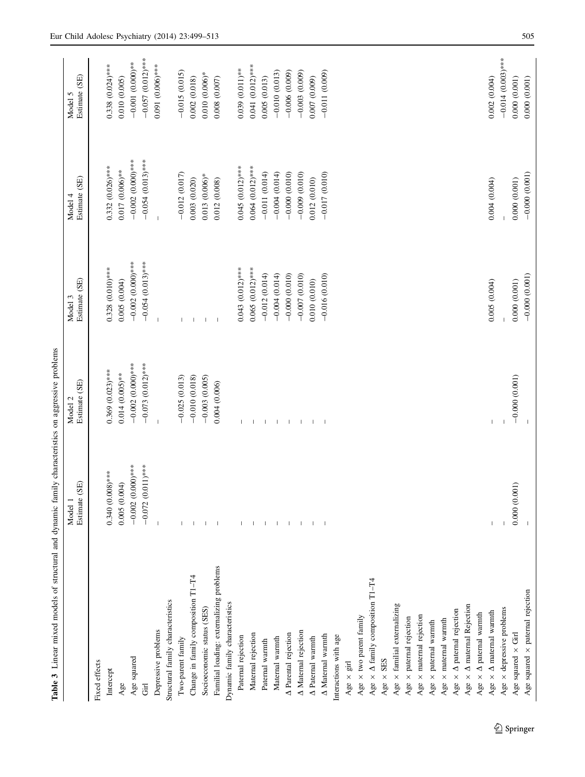<span id="page-6-0"></span>

| Table 3 Linear mixed models of structural and dynamic family characteristics on aggressive problems |                                       |                          |                             |                          |                          |
|-----------------------------------------------------------------------------------------------------|---------------------------------------|--------------------------|-----------------------------|--------------------------|--------------------------|
|                                                                                                     | (SE)<br>Estimate<br>Model 1           | Estimate (SE)<br>Model   | Estimate (SE)<br>3<br>Model | Estimate (SE)<br>Model 4 | Estimate (SE)<br>Model 5 |
| Fixed effects                                                                                       |                                       |                          |                             |                          |                          |
| Intercept                                                                                           | $0.340(0.008)$ ***                    | $0.369$ $(0.023)$ ***    | $0.328(0.010)$ ***          | $0.332(0.026)$ ***       | $0.338(0.024)$ ***       |
| Age                                                                                                 | 0.005(0.004)                          | $0.014(0.005)$ **        | 0.005(0.004)                | $0.017(0.006)$ **        | 0.010(0.005)             |
| Age squared                                                                                         | $-0.002(0.000)$ ***                   | $-0.002(0.000)$ ***      | $-0.002$ (0.000)***         | $-0.002$ (0.000)***      | $-0.001(0.000)$ **       |
| <b>F</b>                                                                                            | $-0.072(0.011)$ ***                   | $-0.073$ (0.012)***      | $-0.054(0.013)$ ***         | $-0.054(0.013)$ ***      | $-0.057(0.012)$ ***      |
| Depressive problems                                                                                 | $\begin{array}{c} \hline \end{array}$ | $\overline{1}$           | $\overline{\phantom{a}}$    | $\overline{1}$           | $0.091(0.006)$ ***       |
| Structural family characteristics                                                                   |                                       |                          |                             |                          |                          |
| Two-parent family                                                                                   |                                       | $-0.025(0.013)$          |                             | $-0.012(0.017)$          | $-0.015(0.015)$          |
| Change in family composition T1-T4                                                                  |                                       | $-0.010(0.018)$          | $\overline{\phantom{a}}$    | 0.003(0.020)             | 0.002(0.018)             |
| Socioeconomic status (SES)                                                                          | -1                                    | $-0.003$ $(0.005)$       | $\overline{1}$              | $0.013(0.006)$ *         | $0.010(0.006)$ *         |
| Familial loading: externalizing problems                                                            |                                       | 0.004(0.006)             | $\blacksquare$              | 0.012(0.008)             | $0.008$ $(0.007)$        |
| Dynamic family characteristics                                                                      |                                       |                          |                             |                          |                          |
| Paternal rejection                                                                                  |                                       | $\mathbf{I}$             | $0.043(0.012)$ ***          | $0.045(0.012)$ ***       | $0.039(0.011)$ **        |
| Maternal rejection                                                                                  |                                       |                          | $0.065(0.012)$ ***          | $0.064(0.012)$ ***       | $0.041(0.012)$ ***       |
| Paternal warmth                                                                                     | $\perp$                               | -1                       | $-0.012(0.014)$             | $-0.011(0.014)$          | 0.005(0.013)             |
| Maternal warmth                                                                                     | $\mathbf{I}$                          | $\overline{\phantom{a}}$ | $-0.004(0.014)$             | $-0.004(0.014)$          | $-0.010(0.013)$          |
| A Parental rejection                                                                                | -1                                    | $\mathbf{I}$             | $-0.000(0.010)$             | $-0.000(0.010)$          | $-0.006(0.009)$          |
| A Maternal rejection                                                                                |                                       | $\overline{1}$           | $-0.007(0.010)$             | $-0.009$ (0.010)         | $-0.003(0.009)$          |
| A Paternal warmth                                                                                   |                                       | $\mathbf{I}$             | 0.010 (0.010)               | 0.012(0.010)             | 0.007(0.009)             |
| A Maternal warmth                                                                                   |                                       | $\mathbf{I}$             | $-0.016(0.010)$             | $-0.017(0.010)$          | $-0.011(0.009)$          |
| Interactions with age                                                                               |                                       |                          |                             |                          |                          |
| Age $\times$ girl                                                                                   |                                       |                          |                             |                          |                          |
| Age $\times$ two parent family                                                                      |                                       |                          |                             |                          |                          |
| Age $\times$ $\Delta$ family composition T1-T4                                                      |                                       |                          |                             |                          |                          |
| Age $\times$ SES                                                                                    |                                       |                          |                             |                          |                          |
| Age $\times$ familial externalizing                                                                 |                                       |                          |                             |                          |                          |
| Age $\times$ paternal rejection                                                                     |                                       |                          |                             |                          |                          |
| Age $\times$ maternal rejection                                                                     |                                       |                          |                             |                          |                          |
| Age $\times$ paternal warmth                                                                        |                                       |                          |                             |                          |                          |
| Age $\times$ maternal warmth                                                                        |                                       |                          |                             |                          |                          |
| Age $\times$ $\Delta$ paternal rejection                                                            |                                       |                          |                             |                          |                          |
| Age $\times$ $\Delta$ maternal Rejection                                                            |                                       |                          |                             |                          |                          |
| Age $\times$ $\Delta$ paternal warmth                                                               |                                       |                          |                             |                          |                          |
| Age $\times$ $\Delta$ maternal warmth                                                               |                                       |                          | 0.005(0.004)                | 0.004(0.004)             | 0.002(0.004)             |
| Age $\times$ depressive problems                                                                    |                                       |                          |                             |                          | $-0.014$ (0.003)***      |
| Age squared $\times$ Girl                                                                           | 0.000(0.001)                          | $-0.000(0.001)$          | 0.000(0.001)                | 0.000(0.001)             | 0.000(0.001)             |
| Age squared $\times$ paternal rejection                                                             |                                       |                          | $-0.000(0.001)$             | $-0.000(0.001)$          | 0.000(0.001)             |

 $\underline{\textcircled{\tiny 2}}$  Springer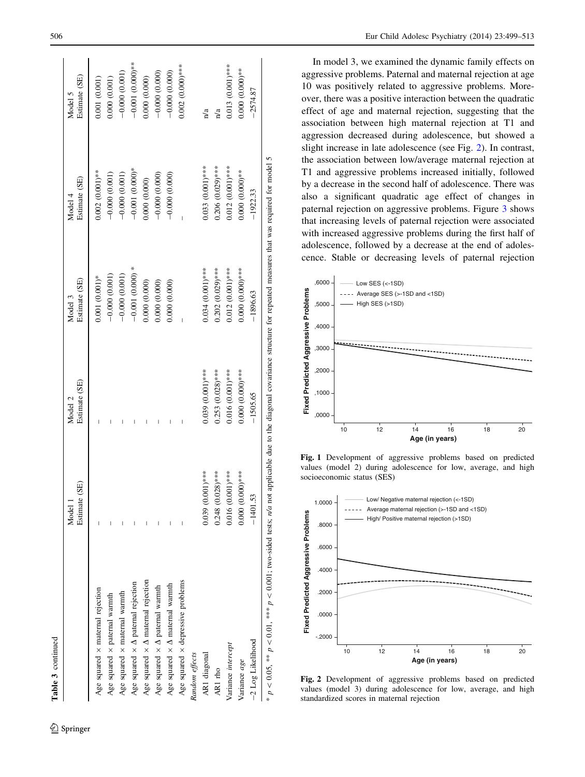<span id="page-7-0"></span>

|                                                                                                                                                                                     | (SE)<br>Model 1<br>Estimate | Estimate (SE)<br>Model 2 | Estimate (SE)<br>Model 3 | Estimate (SE)<br>Model 4 | Estimate (SE)<br>Model 5 |
|-------------------------------------------------------------------------------------------------------------------------------------------------------------------------------------|-----------------------------|--------------------------|--------------------------|--------------------------|--------------------------|
| Age squared $\times$ maternal rejection                                                                                                                                             |                             |                          | $0.001(0.001)*$          | $0.002(0.001)$ **        | 0.001 (0.001)            |
| Age squared $\times$ paternal warmth                                                                                                                                                |                             |                          | $-0.000(0.001)$          | $-0.000(0.001)$          | 0.000 (0.001)            |
| Age squared $\times$ maternal warmth                                                                                                                                                |                             |                          | $-0.000(0.001)$          | $-0.000(0.001)$          | $-0.000(0.001)$          |
| Age squared $\times$ $\Delta$ paternal rejection                                                                                                                                    |                             |                          | $-0.001(0.000)$ *        | $-0.001(0.000)*$         | $-0.001(0.000)$ **       |
| Age squared $\times$ $\Delta$ maternal rejection                                                                                                                                    |                             |                          | 0.000 (0.000)            | 0.000 (0.000)            | 0.000 (0.000)            |
| Age squared $\times$ $\Delta$ paternal warmth                                                                                                                                       |                             | I                        | 0.000 (0.000)            | $-0.000(0.000)$          | $-0.000(0.000)$          |
| Age squared $\times$ $\Delta$ maternal warmth                                                                                                                                       |                             | I                        | 0.000 (0.000)            | $-0.000(0.000)$          | $-0.000(0.000)$          |
| Age squared $\times$ depressive problems                                                                                                                                            |                             | Ī                        |                          |                          | $0.002(0.000)***$        |
| Random effects                                                                                                                                                                      |                             |                          |                          |                          |                          |
| AR1 diagonal                                                                                                                                                                        | $0.039(0.001)$ ***          | $0.039(0.001)$ ***       | $0.034(0.001)$ ***       | $0.033(0.001)$ ***       | n/a                      |
| AR1 rho                                                                                                                                                                             | $0.248$ $(0.028)***$        | $0.253(0.028)$ ***       | $0.202(0.029)$ ***       | $0.206$ $(0.029)$ ***    | $\mathbf{n}/\mathbf{a}$  |
| Variance intercept                                                                                                                                                                  | $0.016(0.001)$ ***          | $0.016(0.001)$ ***       | $0.012(0.001)$ ***       | $0.012(0.001)$ ***       | 0.013 (0.001)***         |
| Variance age                                                                                                                                                                        | $0.000(0.000)***$           | $0.000(0.000)***$        | $0.000(0.000)$ ***       | $0.000(0.000)$ **        | $0.000(0.000)$ **        |
| -2 Log Likelihood                                                                                                                                                                   | $-1401.53$                  | $-1505.65$               | $-1896.63$               | $-1922.33$               | $-2574.87$               |
| * $p < 0.05$ , ** $p < 0.01$ , *** $p < 0.001$ ; two-sided tests; $n/a$ not applicable due to the diagonal covariance structure for repeated measures that was required for model 5 |                             |                          |                          |                          |                          |

<sup>2</sup> Springer

Table 3 continued

Table 3 continued

In model 3, we examined the dynamic family effects on aggressive problems. Paternal and maternal rejection at age 10 was positively related to aggressive problems. Moreover, there was a positive interaction between the quadratic effect of age and maternal rejection, suggesting that the association between high maternal rejection at T1 and aggression decreased during adolescence, but showed a slight increase in late adolescence (see Fig. 2). In contrast, the association between low/average maternal rejection at T1 and aggressive problems increased initially, followed by a decrease in the second half of adolescence. There was also a significant quadratic age effect of changes in paternal rejection on aggressive problems. Figure [3](#page-8-0) shows that increasing levels of paternal rejection were associated with increased aggressive problems during the first half of adolescence, followed by a decrease at the end of adolescence. Stable or decreasing levels of paternal rejection



Fig. 1 Development of aggressive problems based on predicted values (model 2) during adolescence for low, average, and high socioeconomic status (SES)



Fig. 2 Development of aggressive problems based on predicted values (model 3) during adolescence for low, average, and high standardized scores in maternal rejection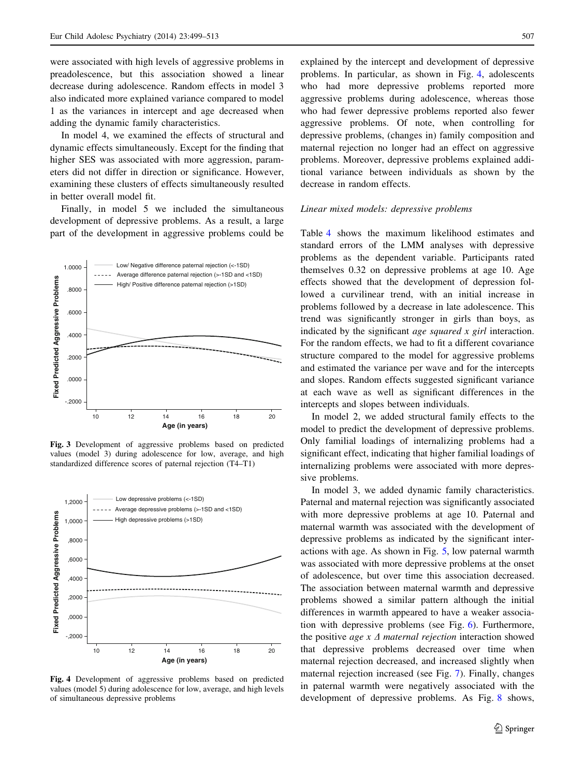<span id="page-8-0"></span>were associated with high levels of aggressive problems in preadolescence, but this association showed a linear decrease during adolescence. Random effects in model 3 also indicated more explained variance compared to model 1 as the variances in intercept and age decreased when adding the dynamic family characteristics.

In model 4, we examined the effects of structural and dynamic effects simultaneously. Except for the finding that higher SES was associated with more aggression, parameters did not differ in direction or significance. However, examining these clusters of effects simultaneously resulted in better overall model fit.

Finally, in model 5 we included the simultaneous development of depressive problems. As a result, a large part of the development in aggressive problems could be



Fig. 3 Development of aggressive problems based on predicted values (model 3) during adolescence for low, average, and high standardized difference scores of paternal rejection (T4–T1)



Fig. 4 Development of aggressive problems based on predicted values (model 5) during adolescence for low, average, and high levels of simultaneous depressive problems

explained by the intercept and development of depressive problems. In particular, as shown in Fig. 4, adolescents who had more depressive problems reported more aggressive problems during adolescence, whereas those who had fewer depressive problems reported also fewer aggressive problems. Of note, when controlling for depressive problems, (changes in) family composition and maternal rejection no longer had an effect on aggressive problems. Moreover, depressive problems explained additional variance between individuals as shown by the decrease in random effects.

## Linear mixed models: depressive problems

Table [4](#page-9-0) shows the maximum likelihood estimates and standard errors of the LMM analyses with depressive problems as the dependent variable. Participants rated themselves 0.32 on depressive problems at age 10. Age effects showed that the development of depression followed a curvilinear trend, with an initial increase in problems followed by a decrease in late adolescence. This trend was significantly stronger in girls than boys, as indicated by the significant *age squared x girl* interaction. For the random effects, we had to fit a different covariance structure compared to the model for aggressive problems and estimated the variance per wave and for the intercepts and slopes. Random effects suggested significant variance at each wave as well as significant differences in the intercepts and slopes between individuals.

In model 2, we added structural family effects to the model to predict the development of depressive problems. Only familial loadings of internalizing problems had a significant effect, indicating that higher familial loadings of internalizing problems were associated with more depressive problems.

In model 3, we added dynamic family characteristics. Paternal and maternal rejection was significantly associated with more depressive problems at age 10. Paternal and maternal warmth was associated with the development of depressive problems as indicated by the significant interactions with age. As shown in Fig. [5](#page-10-0), low paternal warmth was associated with more depressive problems at the onset of adolescence, but over time this association decreased. The association between maternal warmth and depressive problems showed a similar pattern although the initial differences in warmth appeared to have a weaker association with depressive problems (see Fig. [6](#page-10-0)). Furthermore, the positive *age x*  $\Delta$  *maternal rejection* interaction showed that depressive problems decreased over time when maternal rejection decreased, and increased slightly when maternal rejection increased (see Fig. [7](#page-10-0)). Finally, changes in paternal warmth were negatively associated with the development of depressive problems. As Fig. [8](#page-10-0) shows,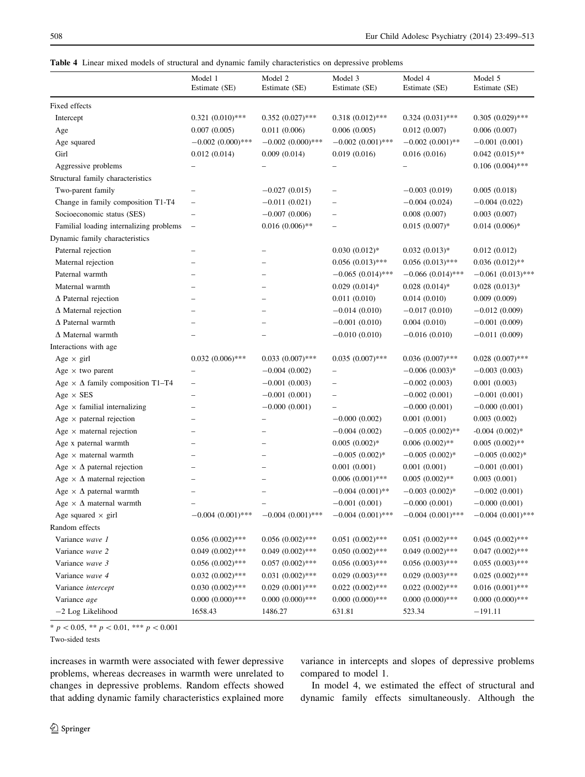<span id="page-9-0"></span>

|  |  |  |  |  |  |  |  |  | <b>Table 4</b> Linear mixed models of structural and dynamic family characteristics on depressive problems |  |  |  |
|--|--|--|--|--|--|--|--|--|------------------------------------------------------------------------------------------------------------|--|--|--|
|--|--|--|--|--|--|--|--|--|------------------------------------------------------------------------------------------------------------|--|--|--|

|                                                                        | Model 1<br>Estimate (SE)                             | Model 2<br>Estimate (SE)                   | Model 3<br>Estimate (SE)             | Model 4<br>Estimate (SE) | Model 5<br>Estimate (SE)            |
|------------------------------------------------------------------------|------------------------------------------------------|--------------------------------------------|--------------------------------------|--------------------------|-------------------------------------|
| Fixed effects                                                          |                                                      |                                            |                                      |                          |                                     |
| Intercept                                                              | $0.321(0.010)$ ***                                   | $0.352(0.027)$ ***                         | $0.318(0.012)$ ***                   | $0.324(0.031)$ ***       | $0.305(0.029)$ ***                  |
| Age                                                                    | 0.007(0.005)                                         | 0.011(0.006)                               | 0.006(0.005)                         | 0.012(0.007)             | 0.006(0.007)                        |
| Age squared                                                            | $-0.002(0.000)$ ***                                  | $-0.002(0.000)$ ***                        | $-0.002(0.001)$ ***                  | $-0.002(0.001)$ **       | $-0.001(0.001)$                     |
| Girl                                                                   | 0.012(0.014)                                         | 0.009(0.014)                               | 0.019(0.016)                         | 0.016(0.016)             | $0.042(0.015)$ **                   |
| Aggressive problems                                                    | $\overline{\phantom{0}}$                             |                                            |                                      |                          | $0.106(0.004)$ ***                  |
| Structural family characteristics                                      |                                                      |                                            |                                      |                          |                                     |
| Two-parent family                                                      | $\overline{\phantom{0}}$                             | $-0.027(0.015)$                            | $\overline{a}$                       | $-0.003(0.019)$          | 0.005(0.018)                        |
| Change in family composition T1-T4                                     | $\overline{\phantom{0}}$                             | $-0.011(0.021)$                            |                                      | $-0.004(0.024)$          | $-0.004(0.022)$                     |
| Socioeconomic status (SES)                                             | $\qquad \qquad -$                                    | $-0.007(0.006)$                            | $\overline{\phantom{0}}$             | 0.008(0.007)             | 0.003(0.007)                        |
| Familial loading internalizing problems                                | $\overline{\phantom{0}}$                             | $0.016(0.006)$ **                          |                                      | $0.015(0.007)*$          | $0.014(0.006)*$                     |
| Dynamic family characteristics                                         |                                                      |                                            |                                      |                          |                                     |
| Paternal rejection                                                     |                                                      |                                            | $0.030(0.012)*$                      | $0.032(0.013)*$          | 0.012(0.012)                        |
| Maternal rejection                                                     |                                                      |                                            | $0.056(0.013)$ ***                   | $0.056(0.013)$ ***       | $0.036(0.012)$ **                   |
| Paternal warmth                                                        |                                                      |                                            | $-0.065(0.014)$ ***                  | $-0.066(0.014)$ ***      | $-0.061(0.013)$ ***                 |
| Maternal warmth                                                        |                                                      | $\overline{\phantom{0}}$                   | $0.029(0.014)$ *                     | $0.028$ $(0.014)*$       | $0.028(0.013)*$                     |
| $\Delta$ Paternal rejection                                            |                                                      | $\overline{\phantom{0}}$                   | 0.011(0.010)                         | 0.014(0.010)             | 0.009(0.009)                        |
| $\Delta$ Maternal rejection                                            |                                                      |                                            | $-0.014(0.010)$                      | $-0.017(0.010)$          | $-0.012(0.009)$                     |
| $\Delta$ Paternal warmth                                               |                                                      | $\overline{\phantom{0}}$                   | $-0.001(0.010)$                      | 0.004(0.010)             | $-0.001(0.009)$                     |
| $\Delta$ Maternal warmth                                               |                                                      |                                            | $-0.010(0.010)$                      | $-0.016(0.010)$          | $-0.011(0.009)$                     |
| Interactions with age                                                  |                                                      |                                            |                                      |                          |                                     |
| Age $\times$ girl                                                      | $0.032(0.006)$ ***                                   | $0.033(0.007)$ ***                         | $0.035(0.007)$ ***                   | $0.036(0.007)$ ***       | $0.028(0.007)$ ***                  |
| Age $\times$ two parent                                                | $\overline{\phantom{0}}$                             | $-0.004(0.002)$                            |                                      | $-0.006(0.003)*$         | $-0.003(0.003)$                     |
| Age $\times$ $\Delta$ family composition T1-T4                         | -                                                    | $-0.001(0.003)$                            | $\overline{\phantom{0}}$             | $-0.002(0.003)$          | 0.001(0.003)                        |
| Age $\times$ SES                                                       | $\overline{\phantom{0}}$                             | $-0.001(0.001)$                            | -                                    | $-0.002(0.001)$          | $-0.001(0.001)$                     |
| Age $\times$ familial internalizing                                    | -                                                    | $-0.000(0.001)$                            |                                      | $-0.000(0.001)$          | $-0.000(0.001)$                     |
| Age $\times$ paternal rejection                                        | -                                                    | -                                          | $-0.000(0.002)$                      | 0.001(0.001)             | 0.003(0.002)                        |
| Age $\times$ maternal rejection                                        |                                                      |                                            | $-0.004(0.002)$                      | $-0.005(0.002)$ **       | $-0.004$ $(0.002)*$                 |
| Age x paternal warmth                                                  | -                                                    | -                                          |                                      | $0.006(0.002)$ **        |                                     |
|                                                                        | $\overline{\phantom{0}}$<br>$\overline{\phantom{0}}$ | $\overline{\phantom{0}}$                   | $0.005(0.002)*$<br>$-0.005(0.002)$ * | $-0.005(0.002)$ *        | $0.005(0.002)$ **                   |
| Age $\times$ maternal warmth<br>Age $\times \Delta$ paternal rejection |                                                      | $\overline{\phantom{0}}$<br>$\overline{a}$ |                                      |                          | $-0.005(0.002)*$<br>$-0.001(0.001)$ |
|                                                                        | $\overline{\phantom{0}}$                             |                                            | 0.001(0.001)                         | 0.001(0.001)             |                                     |
| Age $\times \Delta$ maternal rejection                                 | $\overline{\phantom{0}}$                             | $\overline{\phantom{0}}$                   | $0.006(0.001)$ ***                   | $0.005(0.002)$ **        | 0.003(0.001)                        |
| Age $\times \Delta$ paternal warmth                                    |                                                      |                                            | $-0.004(0.001)$ **                   | $-0.003(0.002)$ *        | $-0.002(0.001)$                     |
| Age $\times \Delta$ maternal warmth                                    | $\overline{\phantom{0}}$                             | $\overline{\phantom{0}}$                   | $-0.001(0.001)$                      | $-0.000(0.001)$          | $-0.000(0.001)$                     |
| Age squared $\times$ girl                                              | $-0.004(0.001)$ ***                                  | $-0.004(0.001)$ ***                        | $-0.004(0.001)$ ***                  | $-0.004(0.001)$ ***      | $-0.004(0.001)$ ***                 |
| Random effects                                                         |                                                      |                                            |                                      |                          |                                     |
| Variance wave 1                                                        | $0.056(0.002)$ ***                                   | $0.056(0.002)$ ***                         | $0.051(0.002)$ ***                   | $0.051(0.002)$ ***       | $0.045(0.002)$ ***                  |
| Variance wave 2                                                        | $0.049(0.002)$ ***                                   | $0.049(0.002)$ ***                         | $0.050(0.002)$ ***                   | $0.049(0.002)$ ***       | $0.047(0.002)$ ***                  |
| Variance wave 3                                                        | $0.056$ $(0.002)$ ***                                | $0.057\ (0.002)^{***}$                     | $0.056(0.003)$ ***                   | $0.056(0.003)$ ***       | $0.055(0.003)$ ***                  |
| Variance wave 4                                                        | $0.032(0.002)$ ***                                   | $0.031(0.002)$ ***                         | $0.029(0.003)$ ***                   | $0.029(0.003)$ ***       | $0.025(0.002)$ ***                  |
| Variance intercept                                                     | $0.030(0.002)$ ***                                   | $0.029(0.001)$ ***                         | $0.022(0.002)$ ***                   | $0.022(0.002)$ ***       | $0.016(0.001)$ ***                  |
| Variance age                                                           | $0.000(0.000)$ ***                                   | $0.000(0.000)$ ***                         | $0.000(0.000)$ ***                   | $0.000(0.000)$ ***       | $0.000(0.000)$ ***                  |
| -2 Log Likelihood                                                      | 1658.43                                              | 1486.27                                    | 631.81                               | 523.34                   | $-191.11$                           |

\*  $p < 0.05$ , \*\*  $p < 0.01$ , \*\*\*  $p < 0.001$ 

Two-sided tests

increases in warmth were associated with fewer depressive problems, whereas decreases in warmth were unrelated to changes in depressive problems. Random effects showed that adding dynamic family characteristics explained more variance in intercepts and slopes of depressive problems compared to model 1.

In model 4, we estimated the effect of structural and dynamic family effects simultaneously. Although the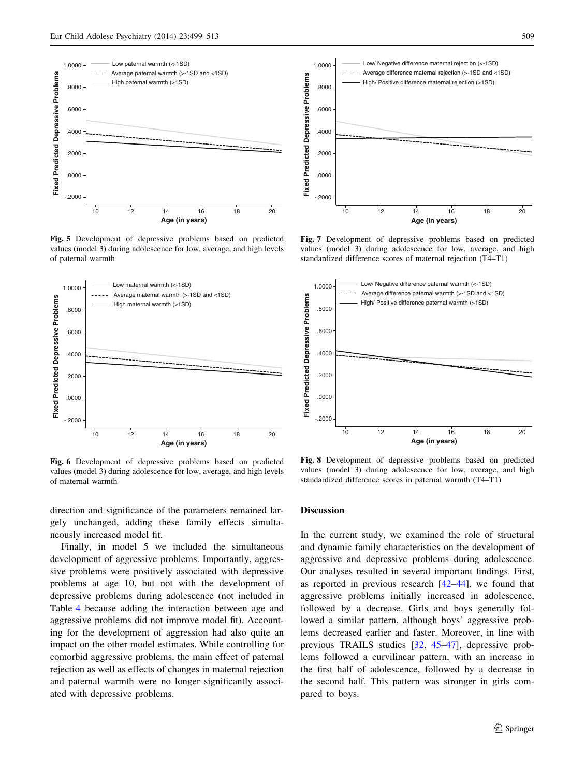<span id="page-10-0"></span>

Fig. 5 Development of depressive problems based on predicted values (model 3) during adolescence for low, average, and high levels of paternal warmth



Fig. 6 Development of depressive problems based on predicted values (model 3) during adolescence for low, average, and high levels of maternal warmth

direction and significance of the parameters remained largely unchanged, adding these family effects simultaneously increased model fit.

Finally, in model 5 we included the simultaneous development of aggressive problems. Importantly, aggressive problems were positively associated with depressive problems at age 10, but not with the development of depressive problems during adolescence (not included in Table [4](#page-9-0) because adding the interaction between age and aggressive problems did not improve model fit). Accounting for the development of aggression had also quite an impact on the other model estimates. While controlling for comorbid aggressive problems, the main effect of paternal rejection as well as effects of changes in maternal rejection and paternal warmth were no longer significantly associated with depressive problems.



Fig. 7 Development of depressive problems based on predicted values (model 3) during adolescence for low, average, and high

standardized difference scores of maternal rejection (T4–T1)



Fig. 8 Development of depressive problems based on predicted values (model 3) during adolescence for low, average, and high standardized difference scores in paternal warmth (T4–T1)

# Discussion

In the current study, we examined the role of structural and dynamic family characteristics on the development of aggressive and depressive problems during adolescence. Our analyses resulted in several important findings. First, as reported in previous research [[42–44\]](#page-14-0), we found that aggressive problems initially increased in adolescence, followed by a decrease. Girls and boys generally followed a similar pattern, although boys' aggressive problems decreased earlier and faster. Moreover, in line with previous TRAILS studies [[32,](#page-14-0) [45–47](#page-14-0)], depressive problems followed a curvilinear pattern, with an increase in the first half of adolescence, followed by a decrease in the second half. This pattern was stronger in girls compared to boys.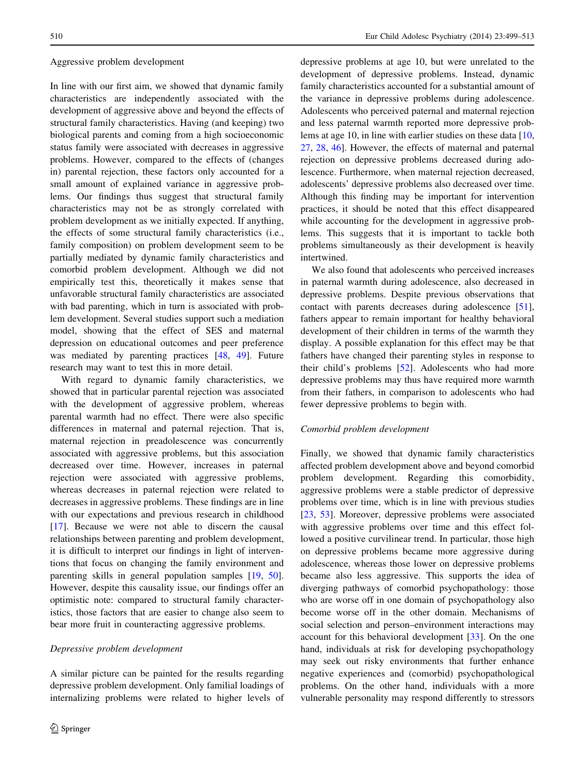### Aggressive problem development

In line with our first aim, we showed that dynamic family characteristics are independently associated with the development of aggressive above and beyond the effects of structural family characteristics. Having (and keeping) two biological parents and coming from a high socioeconomic status family were associated with decreases in aggressive problems. However, compared to the effects of (changes in) parental rejection, these factors only accounted for a small amount of explained variance in aggressive problems. Our findings thus suggest that structural family characteristics may not be as strongly correlated with problem development as we initially expected. If anything, the effects of some structural family characteristics (i.e., family composition) on problem development seem to be partially mediated by dynamic family characteristics and comorbid problem development. Although we did not empirically test this, theoretically it makes sense that unfavorable structural family characteristics are associated with bad parenting, which in turn is associated with problem development. Several studies support such a mediation model, showing that the effect of SES and maternal depression on educational outcomes and peer preference was mediated by parenting practices [[48,](#page-14-0) [49\]](#page-14-0). Future research may want to test this in more detail.

With regard to dynamic family characteristics, we showed that in particular parental rejection was associated with the development of aggressive problem, whereas parental warmth had no effect. There were also specific differences in maternal and paternal rejection. That is, maternal rejection in preadolescence was concurrently associated with aggressive problems, but this association decreased over time. However, increases in paternal rejection were associated with aggressive problems, whereas decreases in paternal rejection were related to decreases in aggressive problems. These findings are in line with our expectations and previous research in childhood [\[17](#page-13-0)]. Because we were not able to discern the causal relationships between parenting and problem development, it is difficult to interpret our findings in light of interventions that focus on changing the family environment and parenting skills in general population samples [[19,](#page-13-0) [50](#page-14-0)]. However, despite this causality issue, our findings offer an optimistic note: compared to structural family characteristics, those factors that are easier to change also seem to bear more fruit in counteracting aggressive problems.

## Depressive problem development

A similar picture can be painted for the results regarding depressive problem development. Only familial loadings of internalizing problems were related to higher levels of depressive problems at age 10, but were unrelated to the development of depressive problems. Instead, dynamic family characteristics accounted for a substantial amount of the variance in depressive problems during adolescence. Adolescents who perceived paternal and maternal rejection and less paternal warmth reported more depressive prob-lems at age [10,](#page-13-0) in line with earlier studies on these data [10, [27](#page-13-0), [28,](#page-14-0) [46\]](#page-14-0). However, the effects of maternal and paternal rejection on depressive problems decreased during adolescence. Furthermore, when maternal rejection decreased, adolescents' depressive problems also decreased over time. Although this finding may be important for intervention practices, it should be noted that this effect disappeared while accounting for the development in aggressive problems. This suggests that it is important to tackle both problems simultaneously as their development is heavily intertwined.

We also found that adolescents who perceived increases in paternal warmth during adolescence, also decreased in depressive problems. Despite previous observations that contact with parents decreases during adolescence [\[51](#page-14-0)], fathers appear to remain important for healthy behavioral development of their children in terms of the warmth they display. A possible explanation for this effect may be that fathers have changed their parenting styles in response to their child's problems [\[52](#page-14-0)]. Adolescents who had more depressive problems may thus have required more warmth from their fathers, in comparison to adolescents who had fewer depressive problems to begin with.

## Comorbid problem development

Finally, we showed that dynamic family characteristics affected problem development above and beyond comorbid problem development. Regarding this comorbidity, aggressive problems were a stable predictor of depressive problems over time, which is in line with previous studies [\[23](#page-13-0), [53](#page-14-0)]. Moreover, depressive problems were associated with aggressive problems over time and this effect followed a positive curvilinear trend. In particular, those high on depressive problems became more aggressive during adolescence, whereas those lower on depressive problems became also less aggressive. This supports the idea of diverging pathways of comorbid psychopathology: those who are worse off in one domain of psychopathology also become worse off in the other domain. Mechanisms of social selection and person–environment interactions may account for this behavioral development [[33\]](#page-14-0). On the one hand, individuals at risk for developing psychopathology may seek out risky environments that further enhance negative experiences and (comorbid) psychopathological problems. On the other hand, individuals with a more vulnerable personality may respond differently to stressors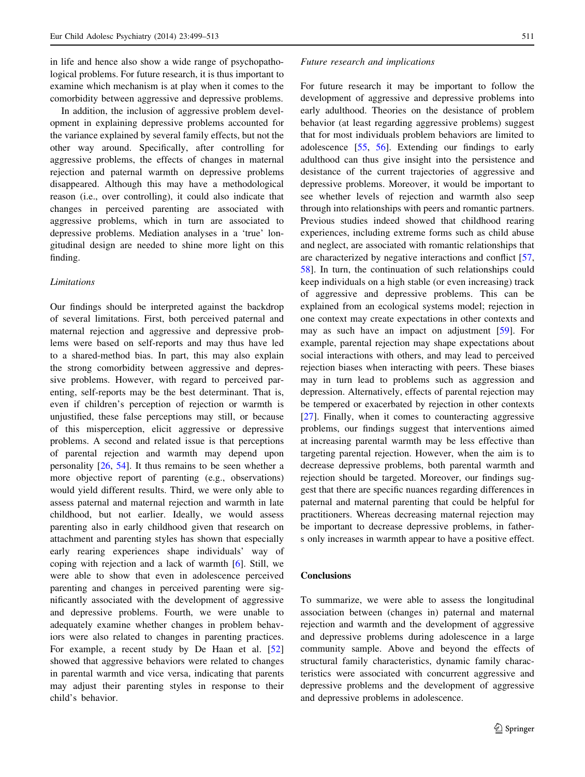in life and hence also show a wide range of psychopathological problems. For future research, it is thus important to examine which mechanism is at play when it comes to the comorbidity between aggressive and depressive problems.

In addition, the inclusion of aggressive problem development in explaining depressive problems accounted for the variance explained by several family effects, but not the other way around. Specifically, after controlling for aggressive problems, the effects of changes in maternal rejection and paternal warmth on depressive problems disappeared. Although this may have a methodological reason (i.e., over controlling), it could also indicate that changes in perceived parenting are associated with aggressive problems, which in turn are associated to depressive problems. Mediation analyses in a 'true' longitudinal design are needed to shine more light on this finding.

## **Limitations**

Our findings should be interpreted against the backdrop of several limitations. First, both perceived paternal and maternal rejection and aggressive and depressive problems were based on self-reports and may thus have led to a shared-method bias. In part, this may also explain the strong comorbidity between aggressive and depressive problems. However, with regard to perceived parenting, self-reports may be the best determinant. That is, even if children's perception of rejection or warmth is unjustified, these false perceptions may still, or because of this misperception, elicit aggressive or depressive problems. A second and related issue is that perceptions of parental rejection and warmth may depend upon personality [\[26](#page-13-0), [54](#page-14-0)]. It thus remains to be seen whether a more objective report of parenting (e.g., observations) would yield different results. Third, we were only able to assess paternal and maternal rejection and warmth in late childhood, but not earlier. Ideally, we would assess parenting also in early childhood given that research on attachment and parenting styles has shown that especially early rearing experiences shape individuals' way of coping with rejection and a lack of warmth [[6\]](#page-13-0). Still, we were able to show that even in adolescence perceived parenting and changes in perceived parenting were significantly associated with the development of aggressive and depressive problems. Fourth, we were unable to adequately examine whether changes in problem behaviors were also related to changes in parenting practices. For example, a recent study by De Haan et al. [[52\]](#page-14-0) showed that aggressive behaviors were related to changes in parental warmth and vice versa, indicating that parents may adjust their parenting styles in response to their child's behavior.

#### Future research and implications

For future research it may be important to follow the development of aggressive and depressive problems into early adulthood. Theories on the desistance of problem behavior (at least regarding aggressive problems) suggest that for most individuals problem behaviors are limited to adolescence [\[55](#page-14-0), [56\]](#page-14-0). Extending our findings to early adulthood can thus give insight into the persistence and desistance of the current trajectories of aggressive and depressive problems. Moreover, it would be important to see whether levels of rejection and warmth also seep through into relationships with peers and romantic partners. Previous studies indeed showed that childhood rearing experiences, including extreme forms such as child abuse and neglect, are associated with romantic relationships that are characterized by negative interactions and conflict [[57,](#page-14-0) [58](#page-14-0)]. In turn, the continuation of such relationships could keep individuals on a high stable (or even increasing) track of aggressive and depressive problems. This can be explained from an ecological systems model; rejection in one context may create expectations in other contexts and may as such have an impact on adjustment [[59\]](#page-14-0). For example, parental rejection may shape expectations about social interactions with others, and may lead to perceived rejection biases when interacting with peers. These biases may in turn lead to problems such as aggression and depression. Alternatively, effects of parental rejection may be tempered or exacerbated by rejection in other contexts [\[27](#page-13-0)]. Finally, when it comes to counteracting aggressive problems, our findings suggest that interventions aimed at increasing parental warmth may be less effective than targeting parental rejection. However, when the aim is to decrease depressive problems, both parental warmth and rejection should be targeted. Moreover, our findings suggest that there are specific nuances regarding differences in paternal and maternal parenting that could be helpful for practitioners. Whereas decreasing maternal rejection may be important to decrease depressive problems, in fathers only increases in warmth appear to have a positive effect.

# Conclusions

To summarize, we were able to assess the longitudinal association between (changes in) paternal and maternal rejection and warmth and the development of aggressive and depressive problems during adolescence in a large community sample. Above and beyond the effects of structural family characteristics, dynamic family characteristics were associated with concurrent aggressive and depressive problems and the development of aggressive and depressive problems in adolescence.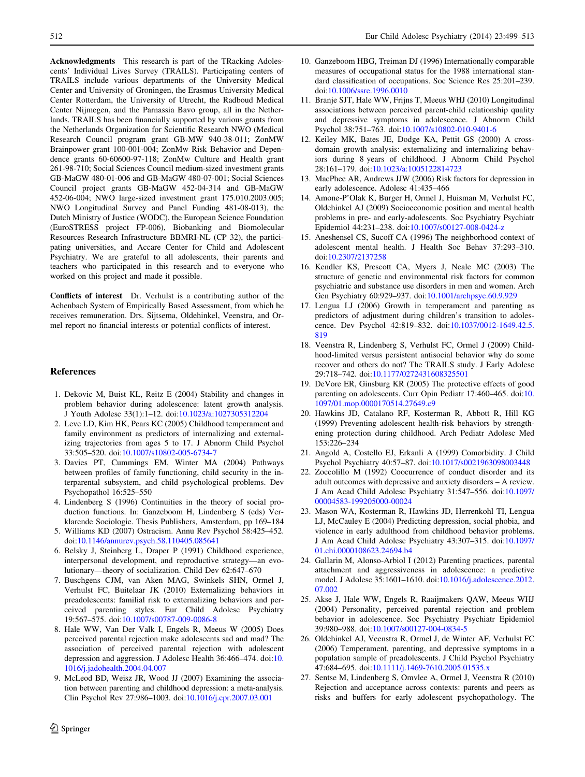<span id="page-13-0"></span>Acknowledgments This research is part of the TRacking Adolescents' Individual Lives Survey (TRAILS). Participating centers of TRAILS include various departments of the University Medical Center and University of Groningen, the Erasmus University Medical Center Rotterdam, the University of Utrecht, the Radboud Medical Center Nijmegen, and the Parnassia Bavo group, all in the Netherlands. TRAILS has been financially supported by various grants from the Netherlands Organization for Scientific Research NWO (Medical Research Council program grant GB-MW 940-38-011; ZonMW Brainpower grant 100-001-004; ZonMw Risk Behavior and Dependence grants 60-60600-97-118; ZonMw Culture and Health grant 261-98-710; Social Sciences Council medium-sized investment grants GB-MaGW 480-01-006 and GB-MaGW 480-07-001; Social Sciences Council project grants GB-MaGW 452-04-314 and GB-MaGW 452-06-004; NWO large-sized investment grant 175.010.2003.005; NWO Longitudinal Survey and Panel Funding 481-08-013), the Dutch Ministry of Justice (WODC), the European Science Foundation (EuroSTRESS project FP-006), Biobanking and Biomolecular Resources Research Infrastructure BBMRI-NL (CP 32), the participating universities, and Accare Center for Child and Adolescent Psychiatry. We are grateful to all adolescents, their parents and teachers who participated in this research and to everyone who worked on this project and made it possible.

Conflicts of interest Dr. Verhulst is a contributing author of the Achenbach System of Empirically Based Assessment, from which he receives remuneration. Drs. Sijtsema, Oldehinkel, Veenstra, and Ormel report no financial interests or potential conflicts of interest.

#### References

- 1. Dekovic M, Buist KL, Reitz E (2004) Stability and changes in problem behavior during adolescence: latent growth analysis. J Youth Adolesc 33(1):1–12. doi[:10.1023/a:1027305312204](http://dx.doi.org/10.1023/a:1027305312204)
- 2. Leve LD, Kim HK, Pears KC (2005) Childhood temperament and family environment as predictors of internalizing and externalizing trajectories from ages 5 to 17. J Abnorm Child Psychol 33:505–520. doi[:10.1007/s10802-005-6734-7](http://dx.doi.org/10.1007/s10802-005-6734-7)
- 3. Davies PT, Cummings EM, Winter MA (2004) Pathways between profiles of family functioning, child security in the interparental subsystem, and child psychological problems. Dev Psychopathol 16:525–550
- 4. Lindenberg S (1996) Continuities in the theory of social production functions. In: Ganzeboom H, Lindenberg S (eds) Verklarende Sociologie. Thesis Publishers, Amsterdam, pp 169–184
- 5. Williams KD (2007) Ostracism. Annu Rev Psychol 58:425–452. doi:[10.1146/annurev.psych.58.110405.085641](http://dx.doi.org/10.1146/annurev.psych.58.110405.085641)
- 6. Belsky J, Steinberg L, Draper P (1991) Childhood experience, interpersonal development, and reproductive strategy—an evolutionary—theory of socialization. Child Dev 62:647–670
- 7. Buschgens CJM, van Aken MAG, Swinkels SHN, Ormel J, Verhulst FC, Buitelaar JK (2010) Externalizing behaviors in preadolescents: familial risk to externalizing behaviors and perceived parenting styles. Eur Child Adolesc Psychiatry 19:567–575. doi[:10.1007/s00787-009-0086-8](http://dx.doi.org/10.1007/s00787-009-0086-8)
- 8. Hale WW, Van Der Valk I, Engels R, Meeus W (2005) Does perceived parental rejection make adolescents sad and mad? The association of perceived parental rejection with adolescent depression and aggression. J Adolesc Health 36:466–474. doi:[10.](http://dx.doi.org/10.1016/j.jadohealth.2004.04.007) [1016/j.jadohealth.2004.04.007](http://dx.doi.org/10.1016/j.jadohealth.2004.04.007)
- 9. McLeod BD, Weisz JR, Wood JJ (2007) Examining the association between parenting and childhood depression: a meta-analysis. Clin Psychol Rev 27:986–1003. doi:[10.1016/j.cpr.2007.03.001](http://dx.doi.org/10.1016/j.cpr.2007.03.001)
- 10. Ganzeboom HBG, Treiman DJ (1996) Internationally comparable measures of occupational status for the 1988 international standard classification of occupations. Soc Science Res 25:201–239. doi:[10.1006/ssre.1996.0010](http://dx.doi.org/10.1006/ssre.1996.0010)
- 11. Branje SJT, Hale WW, Frijns T, Meeus WHJ (2010) Longitudinal associations between perceived parent-child relationship quality and depressive symptoms in adolescence. J Abnorm Child Psychol 38:751–763. doi[:10.1007/s10802-010-9401-6](http://dx.doi.org/10.1007/s10802-010-9401-6)
- 12. Keiley MK, Bates JE, Dodge KA, Pettit GS (2000) A crossdomain growth analysis: externalizing and internalizing behaviors during 8 years of childhood. J Abnorm Child Psychol 28:161–179. doi[:10.1023/a:1005122814723](http://dx.doi.org/10.1023/a:1005122814723)
- 13. MacPhee AR, Andrews JJW (2006) Risk factors for depression in early adolescence. Adolesc 41:435–466
- 14. Amone-P'Olak K, Burger H, Ormel J, Huisman M, Verhulst FC, Oldehinkel AJ (2009) Socioeconomic position and mental health problems in pre- and early-adolescents. Soc Psychiatry Psychiatr Epidemiol 44:231–238. doi:[10.1007/s00127-008-0424-z](http://dx.doi.org/10.1007/s00127-008-0424-z)
- 15. Aneshensel CS, Sucoff CA (1996) The neighborhood context of adolescent mental health. J Health Soc Behav 37:293–310. doi:[10.2307/2137258](http://dx.doi.org/10.2307/2137258)
- 16. Kendler KS, Prescott CA, Myers J, Neale MC (2003) The structure of genetic and environmental risk factors for common psychiatric and substance use disorders in men and women. Arch Gen Psychiatry 60:929–937. doi:[10.1001/archpsyc.60.9.929](http://dx.doi.org/10.1001/archpsyc.60.9.929)
- 17. Lengua LJ (2006) Growth in temperament and parenting as predictors of adjustment during children's transition to adolescence. Dev Psychol 42:819–832. doi:[10.1037/0012-1649.42.5.](http://dx.doi.org/10.1037/0012-1649.42.5.819) [819](http://dx.doi.org/10.1037/0012-1649.42.5.819)
- 18. Veenstra R, Lindenberg S, Verhulst FC, Ormel J (2009) Childhood-limited versus persistent antisocial behavior why do some recover and others do not? The TRAILS study. J Early Adolesc 29:718–742. doi[:10.1177/0272431608325501](http://dx.doi.org/10.1177/0272431608325501)
- 19. DeVore ER, Ginsburg KR (2005) The protective effects of good parenting on adolescents. Curr Opin Pediatr 17:460–465. doi:[10.](http://dx.doi.org/10.1097/01.mop.0000170514.27649.c9) [1097/01.mop.0000170514.27649.c9](http://dx.doi.org/10.1097/01.mop.0000170514.27649.c9)
- 20. Hawkins JD, Catalano RF, Kosterman R, Abbott R, Hill KG (1999) Preventing adolescent health-risk behaviors by strengthening protection during childhood. Arch Pediatr Adolesc Med 153:226–234
- 21. Angold A, Costello EJ, Erkanli A (1999) Comorbidity. J Child Psychol Psychiatry 40:57–87. doi[:10.1017/s0021963098003448](http://dx.doi.org/10.1017/s0021963098003448)
- 22. Zoccolillo M (1992) Coocurrence of conduct disorder and its adult outcomes with depressive and anxiety disorders – A review. J Am Acad Child Adolesc Psychiatry 31:547–556. doi[:10.1097/](http://dx.doi.org/10.1097/00004583-199205000-00024) [00004583-199205000-00024](http://dx.doi.org/10.1097/00004583-199205000-00024)
- 23. Mason WA, Kosterman R, Hawkins JD, Herrenkohl TI, Lengua LJ, McCauley E (2004) Predicting depression, social phobia, and violence in early adulthood from childhood behavior problems. J Am Acad Child Adolesc Psychiatry 43:307–315. doi[:10.1097/](http://dx.doi.org/10.1097/01.chi.0000108623.24694.b4) [01.chi.0000108623.24694.b4](http://dx.doi.org/10.1097/01.chi.0000108623.24694.b4)
- 24. Gallarin M, Alonso-Arbiol I (2012) Parenting practices, parental attachment and aggressiveness in adolescence: a predictive model. J Adolesc 35:1601–1610. doi:[10.1016/j.adolescence.2012.](http://dx.doi.org/10.1016/j.adolescence.2012.07.002) [07.002](http://dx.doi.org/10.1016/j.adolescence.2012.07.002)
- 25. Akse J, Hale WW, Engels R, Raaijmakers QAW, Meeus WHJ (2004) Personality, perceived parental rejection and problem behavior in adolescence. Soc Psychiatry Psychiatr Epidemiol 39:980–988. doi[:10.1007/s00127-004-0834-5](http://dx.doi.org/10.1007/s00127-004-0834-5)
- 26. Oldehinkel AJ, Veenstra R, Ormel J, de Winter AF, Verhulst FC (2006) Temperament, parenting, and depressive symptoms in a population sample of preadolescents. J Child Psychol Psychiatry 47:684–695. doi[:10.1111/j.1469-7610.2005.01535.x](http://dx.doi.org/10.1111/j.1469-7610.2005.01535.x)
- 27. Sentse M, Lindenberg S, Omvlee A, Ormel J, Veenstra R (2010) Rejection and acceptance across contexts: parents and peers as risks and buffers for early adolescent psychopathology. The